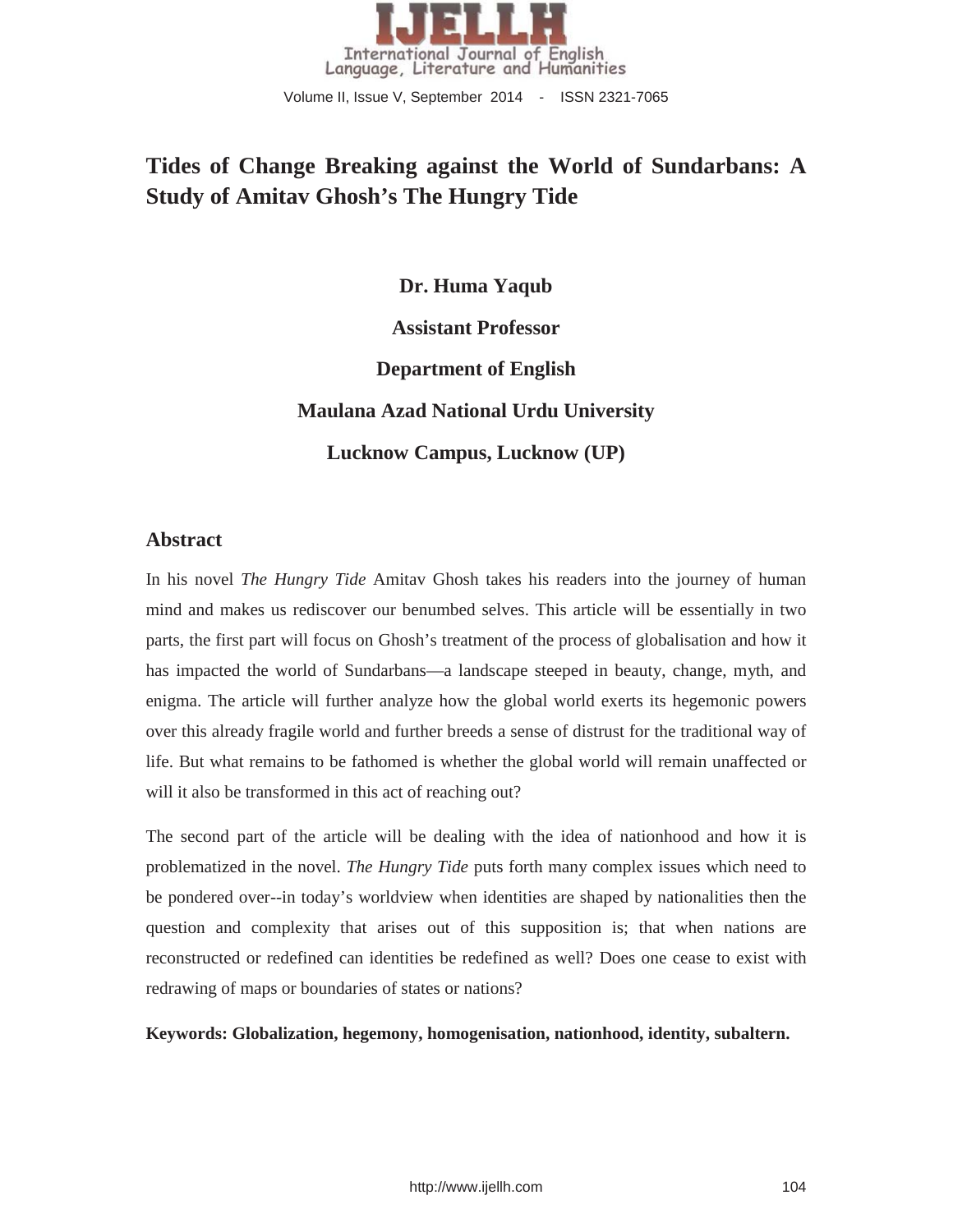

Volume II, Issue V, September 2014 - ISSN 2321-7065

# **Tides of Change Breaking against the World of Sundarbans: A Study of Amitav Ghosh's The Hungry Tide**

**Dr. Huma Yaqub Assistant Professor Department of English Maulana Azad National Urdu University Lucknow Campus, Lucknow (UP)**

## **Abstract**

In his novel *The Hungry Tide* Amitav Ghosh takes his readers into the journey of human mind and makes us rediscover our benumbed selves. This article will be essentially in two parts, the first part will focus on Ghosh's treatment of the process of globalisation and how it has impacted the world of Sundarbans—a landscape steeped in beauty, change, myth, and enigma. The article will further analyze how the global world exerts its hegemonic powers over this already fragile world and further breeds a sense of distrust for the traditional way of life. But what remains to be fathomed is whether the global world will remain unaffected or will it also be transformed in this act of reaching out?

The second part of the article will be dealing with the idea of nationhood and how it is problematized in the novel. *The Hungry Tide* puts forth many complex issues which need to be pondered over--in today's worldview when identities are shaped by nationalities then the question and complexity that arises out of this supposition is; that when nations are reconstructed or redefined can identities be redefined as well? Does one cease to exist with redrawing of maps or boundaries of states or nations?

#### **Keywords: Globalization, hegemony, homogenisation, nationhood, identity, subaltern.**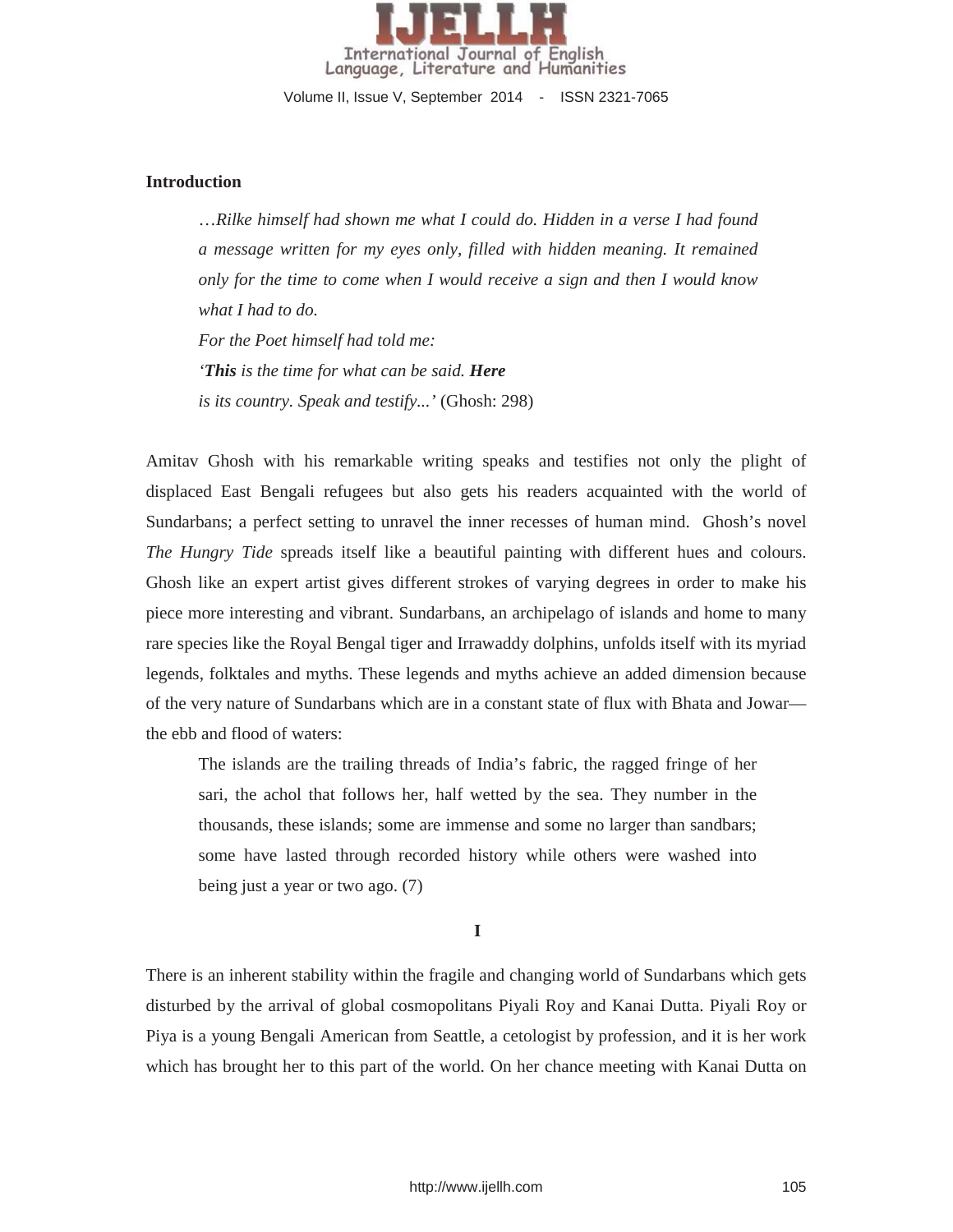

Volume II, Issue V, September 2014 - ISSN 2321-7065

#### **Introduction**

…*Rilke himself had shown me what I could do. Hidden in a verse I had found a message written for my eyes only, filled with hidden meaning. It remained only for the time to come when I would receive a sign and then I would know what I had to do. For the Poet himself had told me: 'This is the time for what can be said. Here is its country. Speak and testify...'* (Ghosh: 298)

Amitav Ghosh with his remarkable writing speaks and testifies not only the plight of displaced East Bengali refugees but also gets his readers acquainted with the world of Sundarbans; a perfect setting to unravel the inner recesses of human mind. Ghosh's novel *The Hungry Tide* spreads itself like a beautiful painting with different hues and colours. Ghosh like an expert artist gives different strokes of varying degrees in order to make his piece more interesting and vibrant. Sundarbans, an archipelago of islands and home to many rare species like the Royal Bengal tiger and Irrawaddy dolphins, unfolds itself with its myriad legends, folktales and myths. These legends and myths achieve an added dimension because of the very nature of Sundarbans which are in a constant state of flux with Bhata and Jowar the ebb and flood of waters:

The islands are the trailing threads of India's fabric, the ragged fringe of her sari, the achol that follows her, half wetted by the sea. They number in the thousands, these islands; some are immense and some no larger than sandbars; some have lasted through recorded history while others were washed into being just a year or two ago. (7)

**I** 

There is an inherent stability within the fragile and changing world of Sundarbans which gets disturbed by the arrival of global cosmopolitans Piyali Roy and Kanai Dutta. Piyali Roy or Piya is a young Bengali American from Seattle, a cetologist by profession, and it is her work which has brought her to this part of the world. On her chance meeting with Kanai Dutta on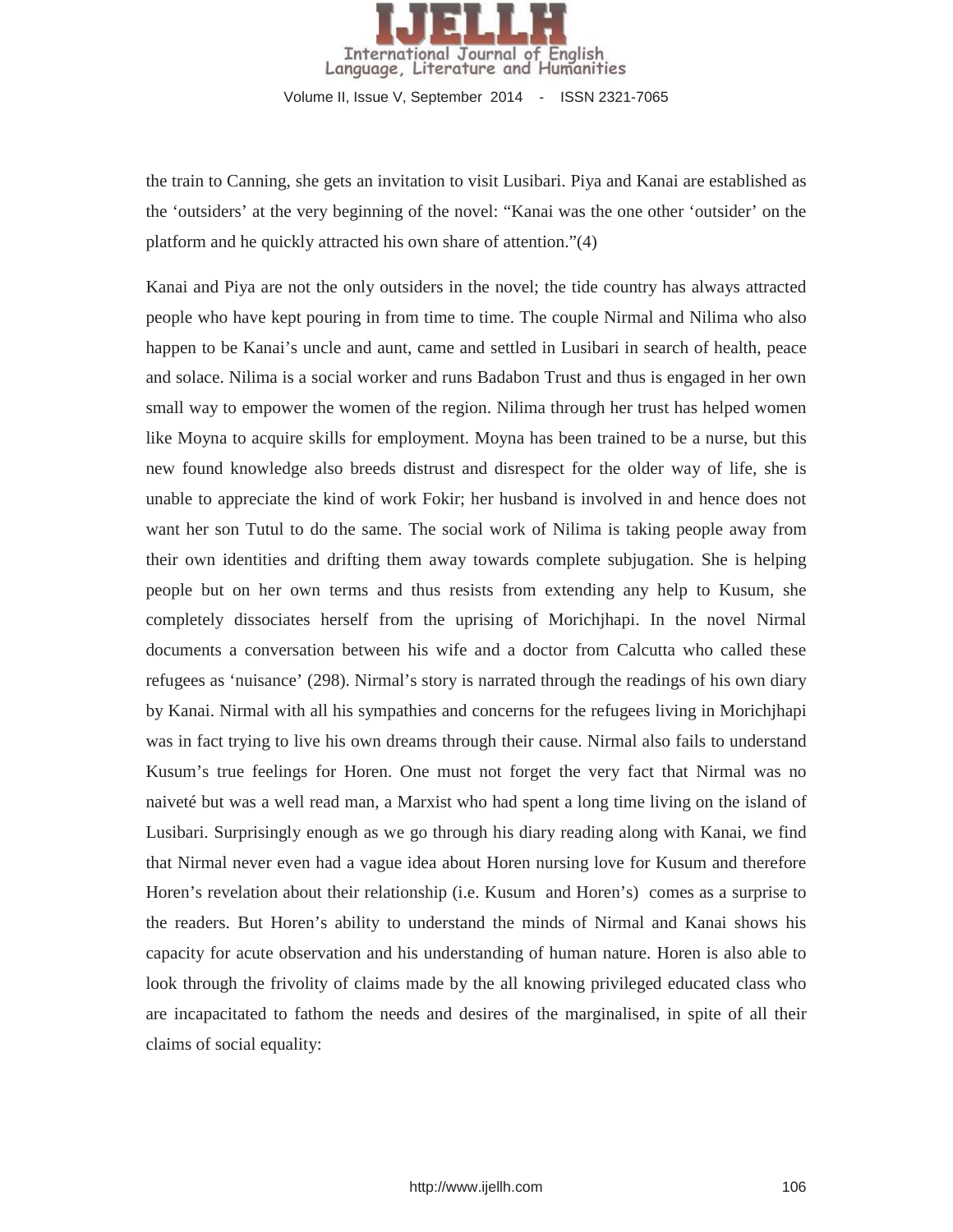

the train to Canning, she gets an invitation to visit Lusibari. Piya and Kanai are established as the 'outsiders' at the very beginning of the novel: "Kanai was the one other 'outsider' on the platform and he quickly attracted his own share of attention."(4)

Kanai and Piya are not the only outsiders in the novel; the tide country has always attracted people who have kept pouring in from time to time. The couple Nirmal and Nilima who also happen to be Kanai's uncle and aunt, came and settled in Lusibari in search of health, peace and solace. Nilima is a social worker and runs Badabon Trust and thus is engaged in her own small way to empower the women of the region. Nilima through her trust has helped women like Moyna to acquire skills for employment. Moyna has been trained to be a nurse, but this new found knowledge also breeds distrust and disrespect for the older way of life, she is unable to appreciate the kind of work Fokir; her husband is involved in and hence does not want her son Tutul to do the same. The social work of Nilima is taking people away from their own identities and drifting them away towards complete subjugation. She is helping people but on her own terms and thus resists from extending any help to Kusum, she completely dissociates herself from the uprising of Morichjhapi. In the novel Nirmal documents a conversation between his wife and a doctor from Calcutta who called these refugees as 'nuisance' (298). Nirmal's story is narrated through the readings of his own diary by Kanai. Nirmal with all his sympathies and concerns for the refugees living in Morichjhapi was in fact trying to live his own dreams through their cause. Nirmal also fails to understand Kusum's true feelings for Horen. One must not forget the very fact that Nirmal was no naiveté but was a well read man, a Marxist who had spent a long time living on the island of Lusibari. Surprisingly enough as we go through his diary reading along with Kanai, we find that Nirmal never even had a vague idea about Horen nursing love for Kusum and therefore Horen's revelation about their relationship (i.e. Kusum and Horen's) comes as a surprise to the readers. But Horen's ability to understand the minds of Nirmal and Kanai shows his capacity for acute observation and his understanding of human nature. Horen is also able to look through the frivolity of claims made by the all knowing privileged educated class who are incapacitated to fathom the needs and desires of the marginalised, in spite of all their claims of social equality: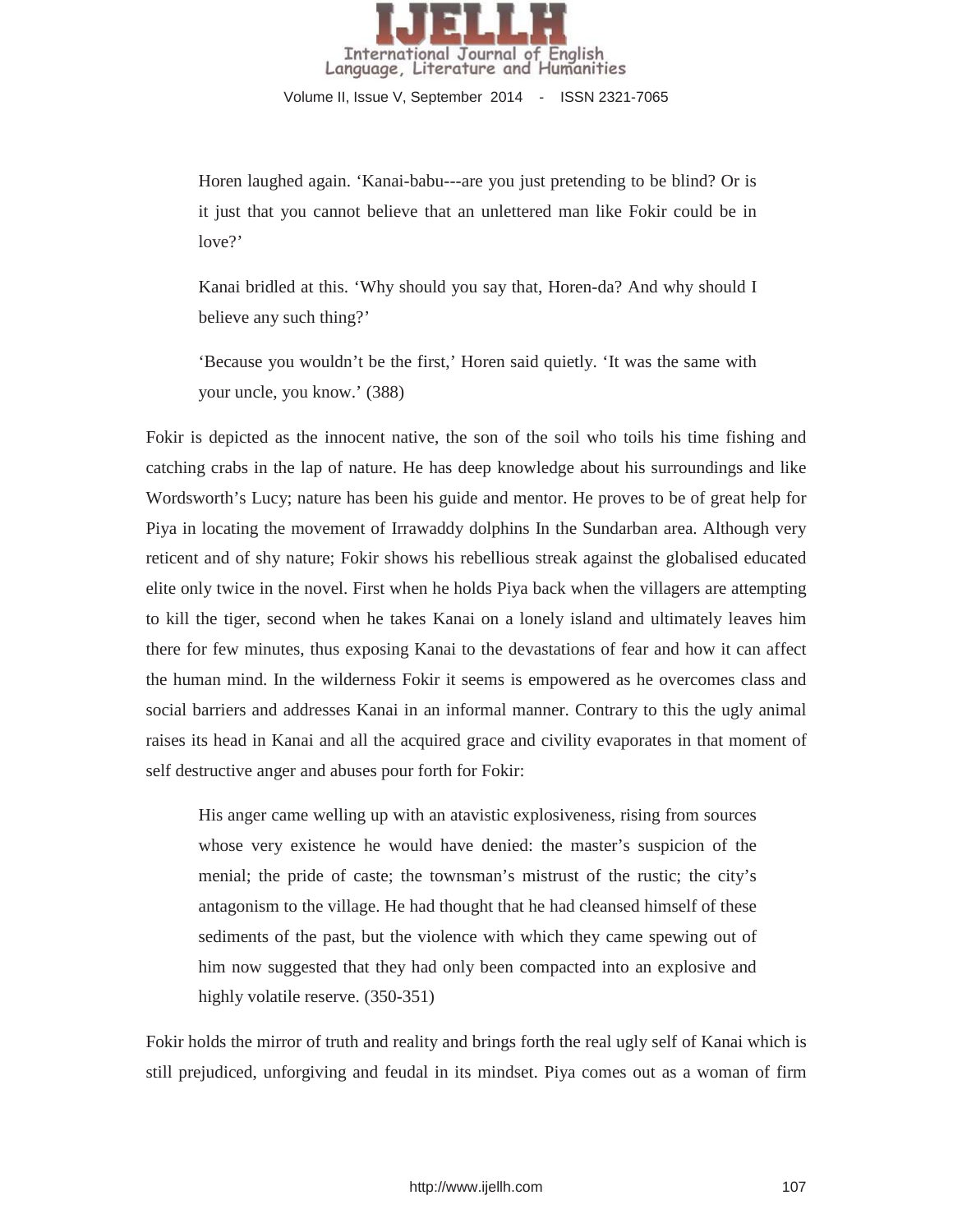

Horen laughed again. 'Kanai-babu---are you just pretending to be blind? Or is it just that you cannot believe that an unlettered man like Fokir could be in love?'

Kanai bridled at this. 'Why should you say that, Horen-da? And why should I believe any such thing?'

'Because you wouldn't be the first,' Horen said quietly. 'It was the same with your uncle, you know.' (388)

Fokir is depicted as the innocent native, the son of the soil who toils his time fishing and catching crabs in the lap of nature. He has deep knowledge about his surroundings and like Wordsworth's Lucy; nature has been his guide and mentor. He proves to be of great help for Piya in locating the movement of Irrawaddy dolphins In the Sundarban area. Although very reticent and of shy nature; Fokir shows his rebellious streak against the globalised educated elite only twice in the novel. First when he holds Piya back when the villagers are attempting to kill the tiger, second when he takes Kanai on a lonely island and ultimately leaves him there for few minutes, thus exposing Kanai to the devastations of fear and how it can affect the human mind. In the wilderness Fokir it seems is empowered as he overcomes class and social barriers and addresses Kanai in an informal manner. Contrary to this the ugly animal raises its head in Kanai and all the acquired grace and civility evaporates in that moment of self destructive anger and abuses pour forth for Fokir:

His anger came welling up with an atavistic explosiveness, rising from sources whose very existence he would have denied: the master's suspicion of the menial; the pride of caste; the townsman's mistrust of the rustic; the city's antagonism to the village. He had thought that he had cleansed himself of these sediments of the past, but the violence with which they came spewing out of him now suggested that they had only been compacted into an explosive and highly volatile reserve. (350-351)

Fokir holds the mirror of truth and reality and brings forth the real ugly self of Kanai which is still prejudiced, unforgiving and feudal in its mindset. Piya comes out as a woman of firm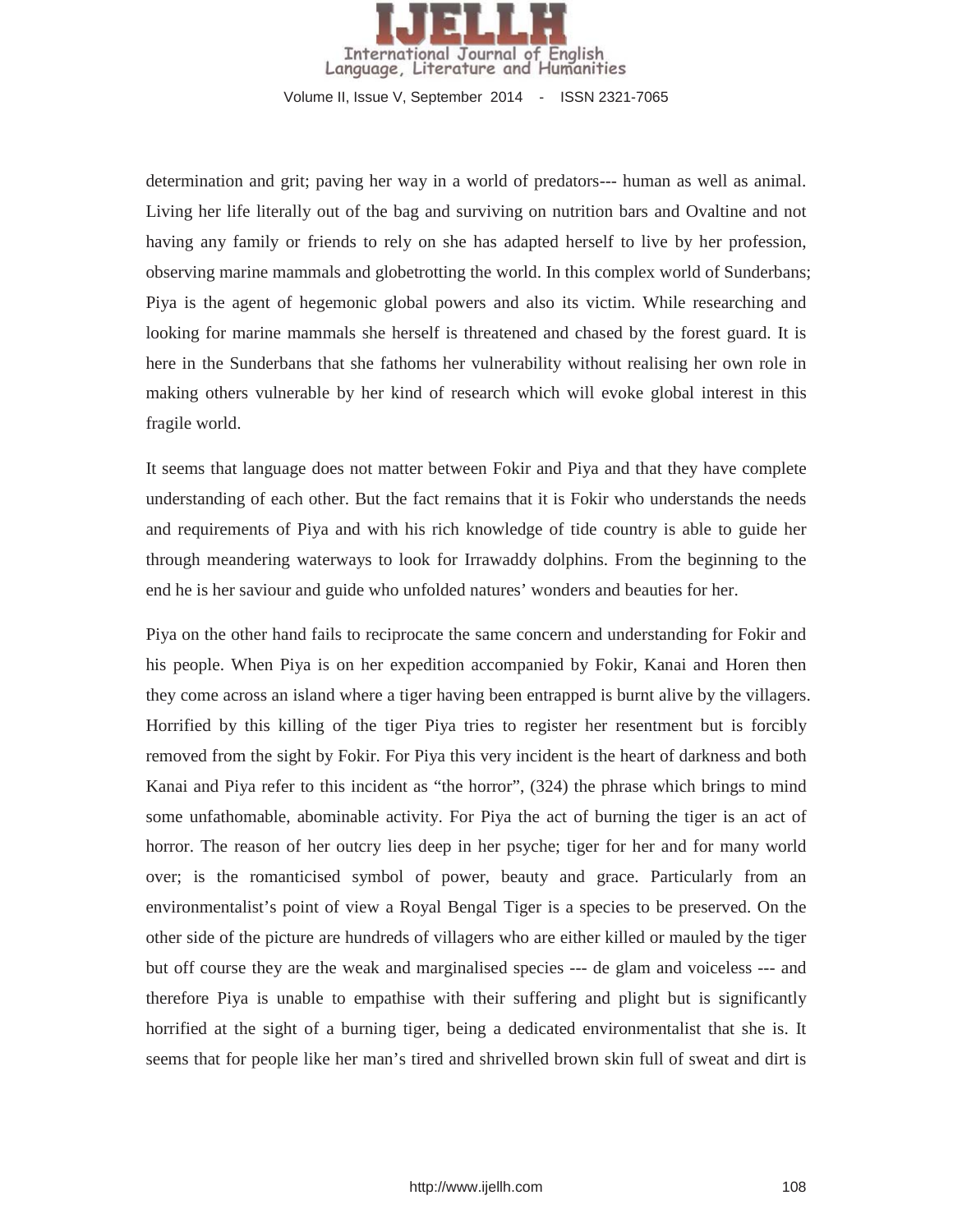

determination and grit; paving her way in a world of predators--- human as well as animal. Living her life literally out of the bag and surviving on nutrition bars and Ovaltine and not having any family or friends to rely on she has adapted herself to live by her profession, observing marine mammals and globetrotting the world. In this complex world of Sunderbans; Piya is the agent of hegemonic global powers and also its victim. While researching and looking for marine mammals she herself is threatened and chased by the forest guard. It is here in the Sunderbans that she fathoms her vulnerability without realising her own role in making others vulnerable by her kind of research which will evoke global interest in this fragile world.

It seems that language does not matter between Fokir and Piya and that they have complete understanding of each other. But the fact remains that it is Fokir who understands the needs and requirements of Piya and with his rich knowledge of tide country is able to guide her through meandering waterways to look for Irrawaddy dolphins. From the beginning to the end he is her saviour and guide who unfolded natures' wonders and beauties for her.

Piya on the other hand fails to reciprocate the same concern and understanding for Fokir and his people. When Piya is on her expedition accompanied by Fokir, Kanai and Horen then they come across an island where a tiger having been entrapped is burnt alive by the villagers. Horrified by this killing of the tiger Piya tries to register her resentment but is forcibly removed from the sight by Fokir. For Piya this very incident is the heart of darkness and both Kanai and Piya refer to this incident as "the horror", (324) the phrase which brings to mind some unfathomable, abominable activity. For Piya the act of burning the tiger is an act of horror. The reason of her outcry lies deep in her psyche; tiger for her and for many world over; is the romanticised symbol of power, beauty and grace. Particularly from an environmentalist's point of view a Royal Bengal Tiger is a species to be preserved. On the other side of the picture are hundreds of villagers who are either killed or mauled by the tiger but off course they are the weak and marginalised species --- de glam and voiceless --- and therefore Piya is unable to empathise with their suffering and plight but is significantly horrified at the sight of a burning tiger, being a dedicated environmentalist that she is. It seems that for people like her man's tired and shrivelled brown skin full of sweat and dirt is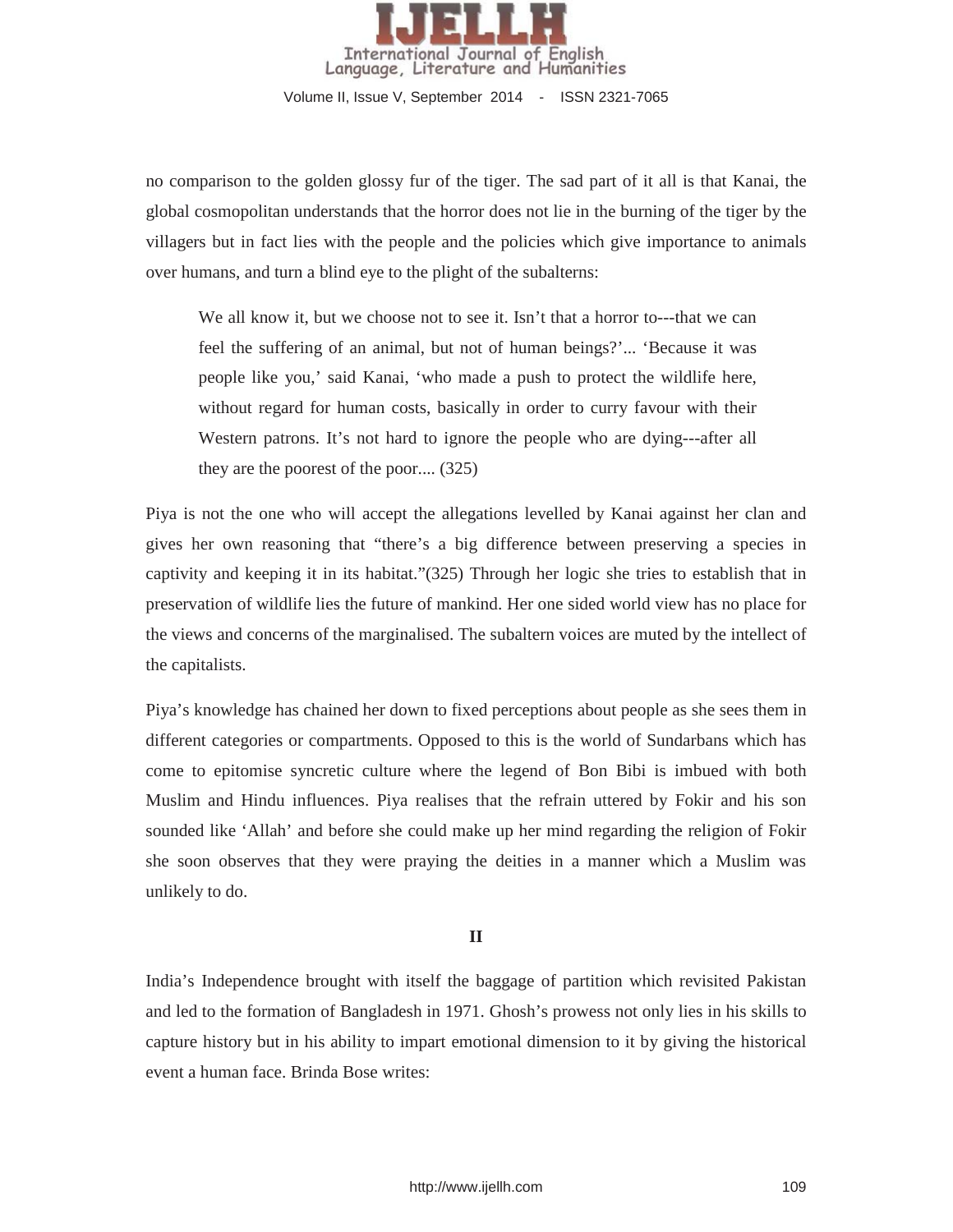

no comparison to the golden glossy fur of the tiger. The sad part of it all is that Kanai, the global cosmopolitan understands that the horror does not lie in the burning of the tiger by the villagers but in fact lies with the people and the policies which give importance to animals over humans, and turn a blind eye to the plight of the subalterns:

We all know it, but we choose not to see it. Isn't that a horror to---that we can feel the suffering of an animal, but not of human beings?'... 'Because it was people like you,' said Kanai, 'who made a push to protect the wildlife here, without regard for human costs, basically in order to curry favour with their Western patrons. It's not hard to ignore the people who are dying---after all they are the poorest of the poor.... (325)

Piya is not the one who will accept the allegations levelled by Kanai against her clan and gives her own reasoning that "there's a big difference between preserving a species in captivity and keeping it in its habitat."(325) Through her logic she tries to establish that in preservation of wildlife lies the future of mankind. Her one sided world view has no place for the views and concerns of the marginalised. The subaltern voices are muted by the intellect of the capitalists.

Piya's knowledge has chained her down to fixed perceptions about people as she sees them in different categories or compartments. Opposed to this is the world of Sundarbans which has come to epitomise syncretic culture where the legend of Bon Bibi is imbued with both Muslim and Hindu influences. Piya realises that the refrain uttered by Fokir and his son sounded like 'Allah' and before she could make up her mind regarding the religion of Fokir she soon observes that they were praying the deities in a manner which a Muslim was unlikely to do.

### **II**

India's Independence brought with itself the baggage of partition which revisited Pakistan and led to the formation of Bangladesh in 1971. Ghosh's prowess not only lies in his skills to capture history but in his ability to impart emotional dimension to it by giving the historical event a human face. Brinda Bose writes: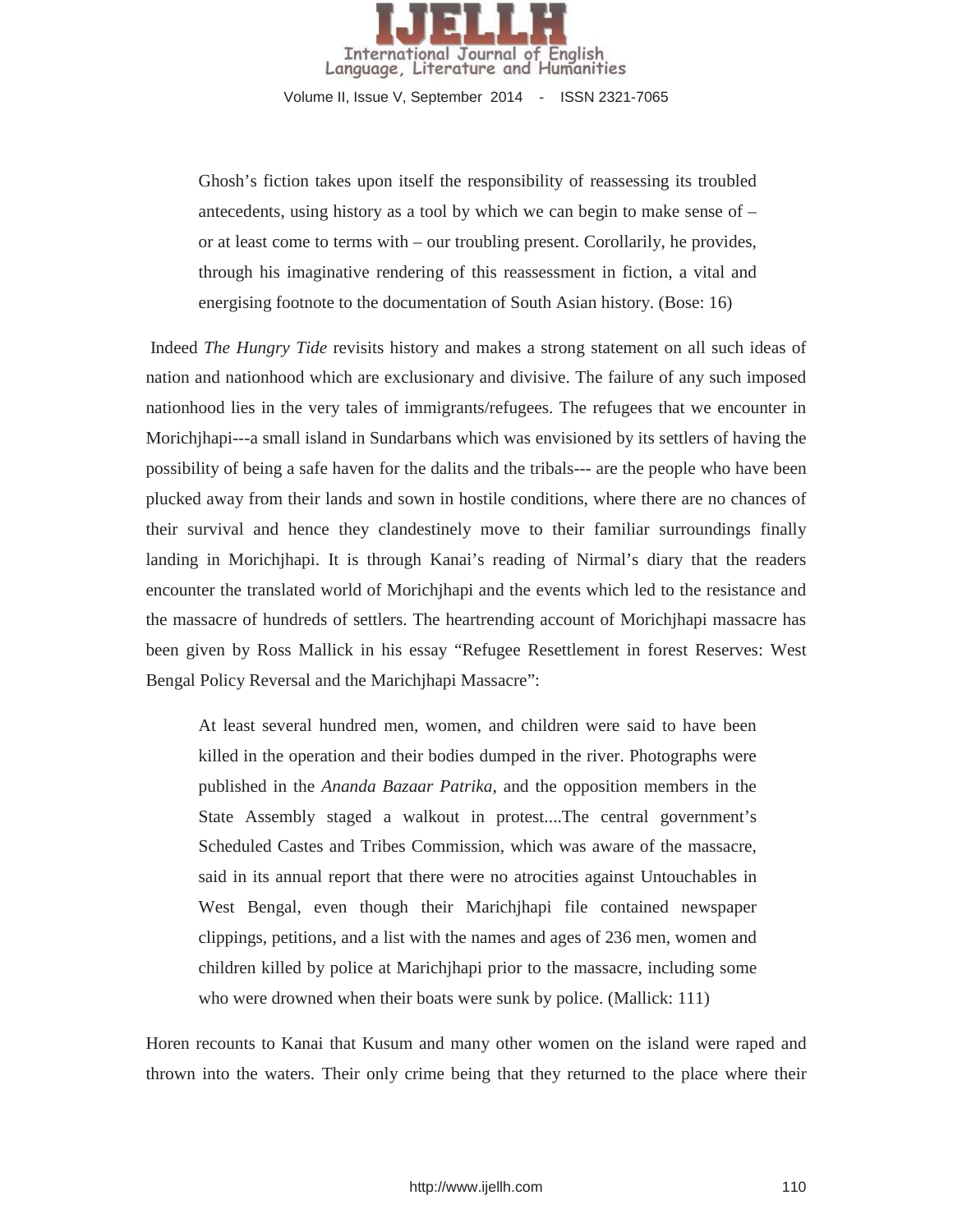

Ghosh's fiction takes upon itself the responsibility of reassessing its troubled antecedents, using history as a tool by which we can begin to make sense of – or at least come to terms with – our troubling present. Corollarily, he provides, through his imaginative rendering of this reassessment in fiction, a vital and energising footnote to the documentation of South Asian history. (Bose: 16)

Indeed *The Hungry Tide* revisits history and makes a strong statement on all such ideas of nation and nationhood which are exclusionary and divisive. The failure of any such imposed nationhood lies in the very tales of immigrants/refugees. The refugees that we encounter in Morichjhapi---a small island in Sundarbans which was envisioned by its settlers of having the possibility of being a safe haven for the dalits and the tribals--- are the people who have been plucked away from their lands and sown in hostile conditions, where there are no chances of their survival and hence they clandestinely move to their familiar surroundings finally landing in Morichjhapi. It is through Kanai's reading of Nirmal's diary that the readers encounter the translated world of Morichjhapi and the events which led to the resistance and the massacre of hundreds of settlers. The heartrending account of Morichjhapi massacre has been given by Ross Mallick in his essay "Refugee Resettlement in forest Reserves: West Bengal Policy Reversal and the Marichjhapi Massacre":

At least several hundred men, women, and children were said to have been killed in the operation and their bodies dumped in the river. Photographs were published in the *Ananda Bazaar Patrika*, and the opposition members in the State Assembly staged a walkout in protest....The central government's Scheduled Castes and Tribes Commission, which was aware of the massacre, said in its annual report that there were no atrocities against Untouchables in West Bengal, even though their Marichjhapi file contained newspaper clippings, petitions, and a list with the names and ages of 236 men, women and children killed by police at Marichjhapi prior to the massacre, including some who were drowned when their boats were sunk by police. (Mallick: 111)

Horen recounts to Kanai that Kusum and many other women on the island were raped and thrown into the waters. Their only crime being that they returned to the place where their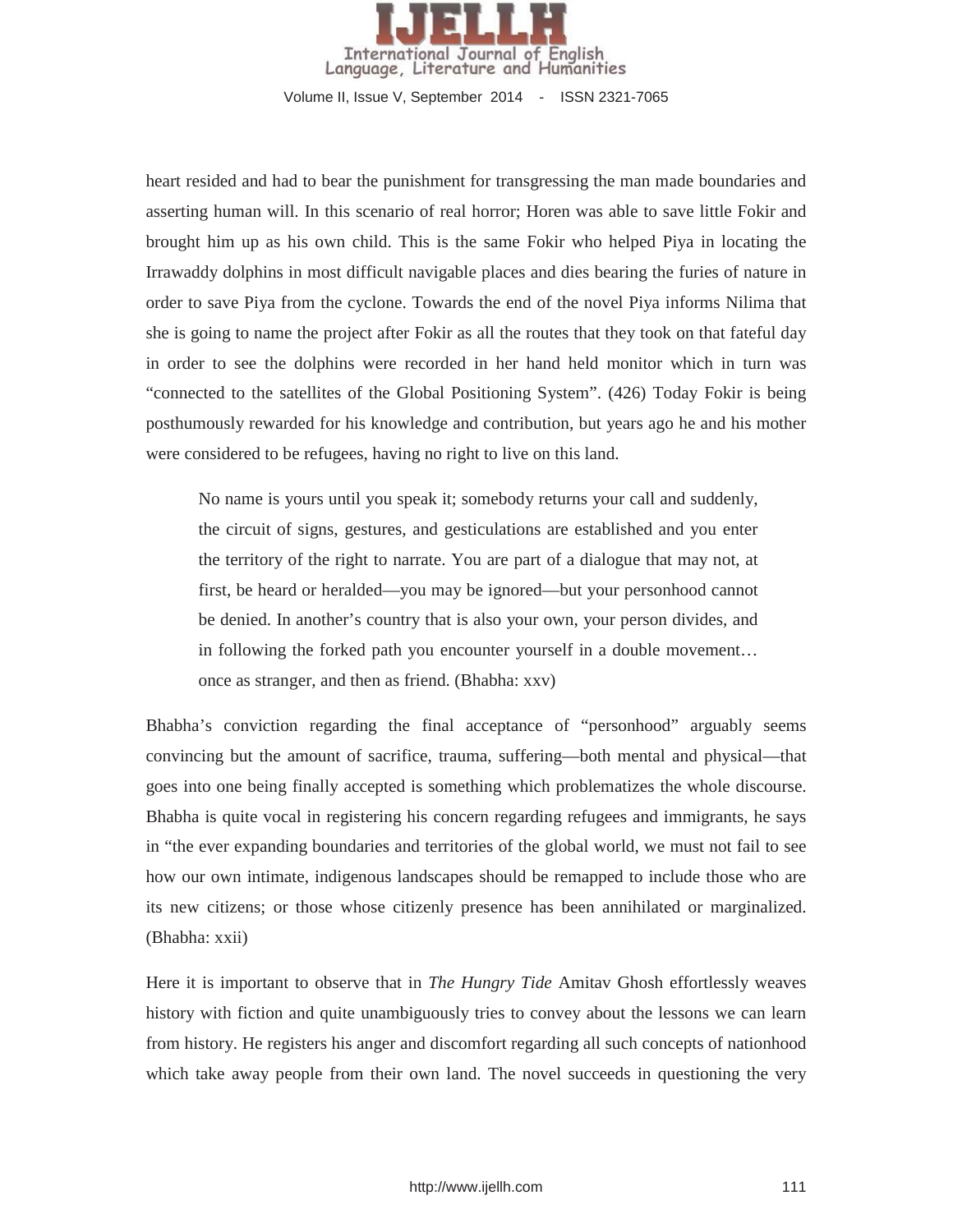

heart resided and had to bear the punishment for transgressing the man made boundaries and asserting human will. In this scenario of real horror; Horen was able to save little Fokir and brought him up as his own child. This is the same Fokir who helped Piya in locating the Irrawaddy dolphins in most difficult navigable places and dies bearing the furies of nature in order to save Piya from the cyclone. Towards the end of the novel Piya informs Nilima that she is going to name the project after Fokir as all the routes that they took on that fateful day in order to see the dolphins were recorded in her hand held monitor which in turn was "connected to the satellites of the Global Positioning System". (426) Today Fokir is being posthumously rewarded for his knowledge and contribution, but years ago he and his mother were considered to be refugees, having no right to live on this land.

No name is yours until you speak it; somebody returns your call and suddenly, the circuit of signs, gestures, and gesticulations are established and you enter the territory of the right to narrate. You are part of a dialogue that may not, at first, be heard or heralded—you may be ignored—but your personhood cannot be denied. In another's country that is also your own, your person divides, and in following the forked path you encounter yourself in a double movement… once as stranger, and then as friend. (Bhabha: xxv)

Bhabha's conviction regarding the final acceptance of "personhood" arguably seems convincing but the amount of sacrifice, trauma, suffering—both mental and physical—that goes into one being finally accepted is something which problematizes the whole discourse. Bhabha is quite vocal in registering his concern regarding refugees and immigrants, he says in "the ever expanding boundaries and territories of the global world, we must not fail to see how our own intimate, indigenous landscapes should be remapped to include those who are its new citizens; or those whose citizenly presence has been annihilated or marginalized. (Bhabha: xxii)

Here it is important to observe that in *The Hungry Tide* Amitav Ghosh effortlessly weaves history with fiction and quite unambiguously tries to convey about the lessons we can learn from history. He registers his anger and discomfort regarding all such concepts of nationhood which take away people from their own land. The novel succeeds in questioning the very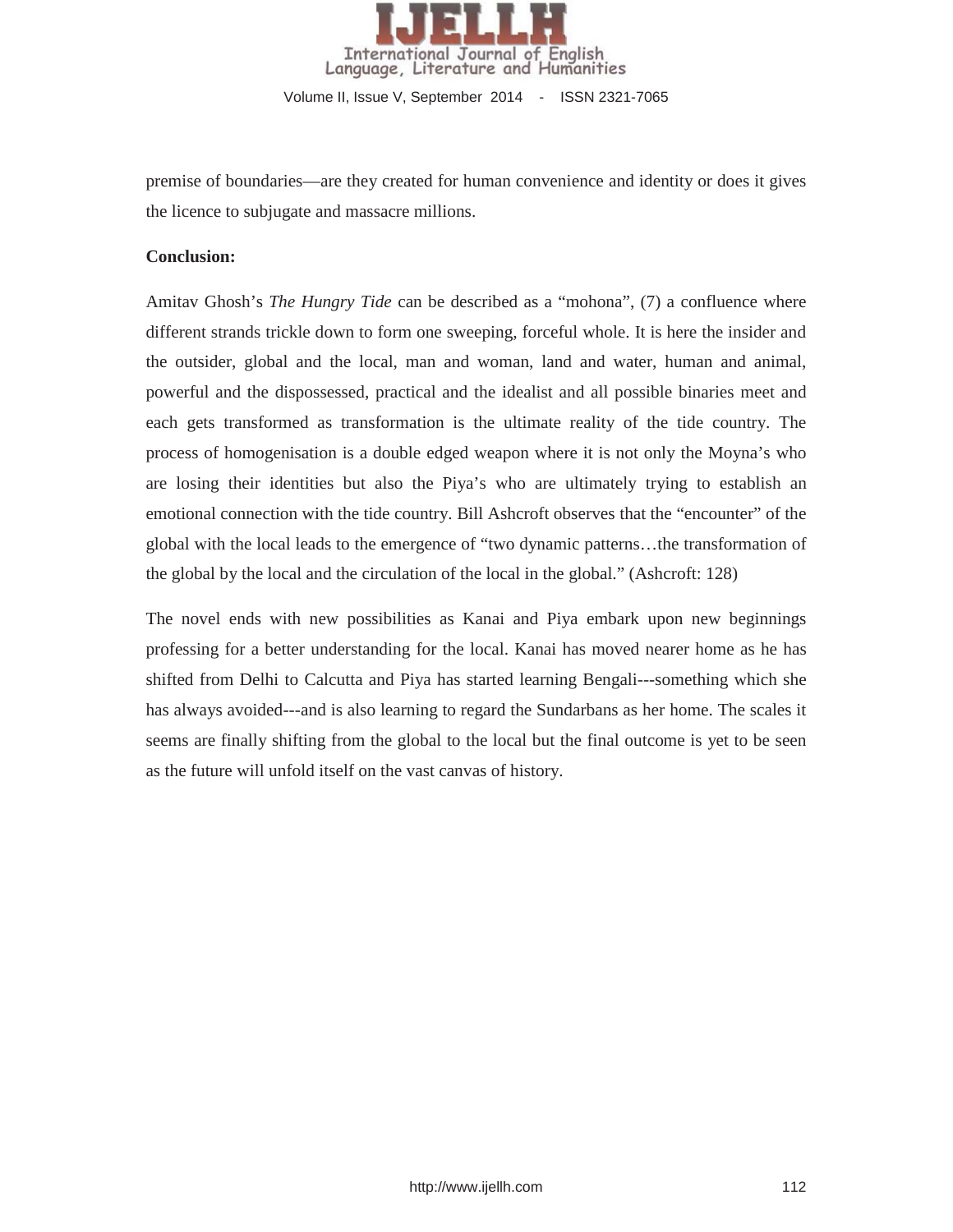

premise of boundaries—are they created for human convenience and identity or does it gives the licence to subjugate and massacre millions.

#### **Conclusion:**

Amitav Ghosh's *The Hungry Tide* can be described as a "mohona", (7) a confluence where different strands trickle down to form one sweeping, forceful whole. It is here the insider and the outsider, global and the local, man and woman, land and water, human and animal, powerful and the dispossessed, practical and the idealist and all possible binaries meet and each gets transformed as transformation is the ultimate reality of the tide country. The process of homogenisation is a double edged weapon where it is not only the Moyna's who are losing their identities but also the Piya's who are ultimately trying to establish an emotional connection with the tide country. Bill Ashcroft observes that the "encounter" of the global with the local leads to the emergence of "two dynamic patterns…the transformation of the global by the local and the circulation of the local in the global." (Ashcroft: 128)

The novel ends with new possibilities as Kanai and Piya embark upon new beginnings professing for a better understanding for the local. Kanai has moved nearer home as he has shifted from Delhi to Calcutta and Piya has started learning Bengali---something which she has always avoided---and is also learning to regard the Sundarbans as her home. The scales it seems are finally shifting from the global to the local but the final outcome is yet to be seen as the future will unfold itself on the vast canvas of history.